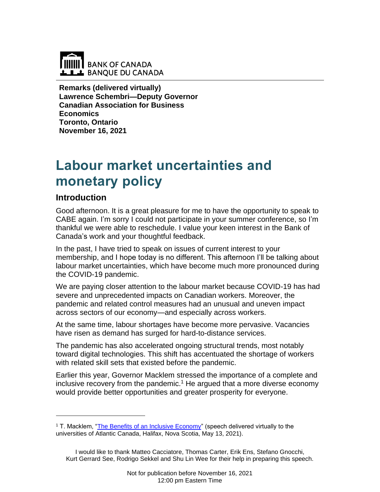

**Remarks (delivered virtually) Lawrence Schembri—Deputy Governor Canadian Association for Business Economics Toronto, Ontario November 16, 2021**

# **Labour market uncertainties and monetary policy**

## **Introduction**

Good afternoon. It is a great pleasure for me to have the opportunity to speak to CABE again. I'm sorry I could not participate in your summer conference, so I'm thankful we were able to reschedule. I value your keen interest in the Bank of Canada's work and your thoughtful feedback.

In the past, I have tried to speak on issues of current interest to your membership, and I hope today is no different. This afternoon I'll be talking about labour market uncertainties, which have become much more pronounced during the COVID-19 pandemic.

We are paying closer attention to the labour market because COVID-19 has had severe and unprecedented impacts on Canadian workers. Moreover, the pandemic and related control measures had an unusual and uneven impact across sectors of our economy—and especially across workers.

At the same time, labour shortages have become more pervasive. Vacancies have risen as demand has surged for hard-to-distance services.

The pandemic has also accelerated ongoing structural trends, most notably toward digital technologies. This shift has accentuated the shortage of workers with related skill sets that existed before the pandemic.

Earlier this year, Governor Macklem stressed the importance of a complete and inclusive recovery from the pandemic.<sup>1</sup> He argued that a more diverse economy would provide better opportunities and greater prosperity for everyone.

<sup>&</sup>lt;sup>1</sup> T. Macklem, ["The Benefits of an Inclusive Economy"](http://www.bankofcanada.ca/?p=220766) (speech delivered virtually to the universities of Atlantic Canada, Halifax, Nova Scotia, May 13, 2021).

I would like to thank Matteo Cacciatore, Thomas Carter, Erik Ens, Stefano Gnocchi, Kurt Gerrard See, Rodrigo Sekkel and Shu Lin Wee for their help in preparing this speech.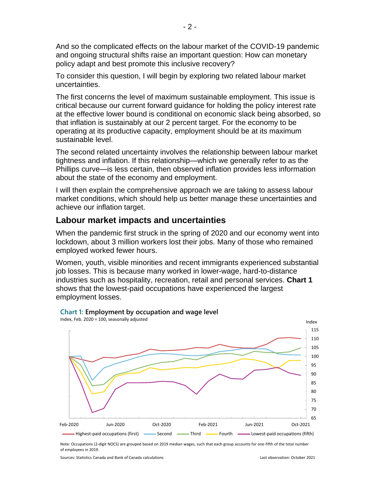And so the complicated effects on the labour market of the COVID-19 pandemic and ongoing structural shifts raise an important question: How can monetary policy adapt and best promote this inclusive recovery?

To consider this question, I will begin by exploring two related labour market uncertainties.

The first concerns the level of maximum sustainable employment. This issue is critical because our current forward guidance for holding the policy interest rate at the effective lower bound is conditional on economic slack being absorbed, so that inflation is sustainably at our 2 percent target. For the economy to be operating at its productive capacity, employment should be at its maximum sustainable level.

The second related uncertainty involves the relationship between labour market tightness and inflation. If this relationship—which we generally refer to as the Phillips curve—is less certain, then observed inflation provides less information about the state of the economy and employment.

I will then explain the comprehensive approach we are taking to assess labour market conditions, which should help us better manage these uncertainties and achieve our inflation target.

## **Labour market impacts and uncertainties**

When the pandemic first struck in the spring of 2020 and our economy went into lockdown, about 3 million workers lost their jobs. Many of those who remained employed worked fewer hours.

Women, youth, visible minorities and recent immigrants experienced substantial job losses. This is because many worked in lower-wage, hard-to-distance industries such as hospitality, recreation, retail and personal services. **Chart 1** shows that the lowest-paid occupations have experienced the largest employment losses.



#### **Chart 1: Employment by occupation and wage level**

Note: Occupations (2-digit NOCS) are grouped based on 2019 median wages, such that each group accounts for one-fifth of the total number of employees in 2019.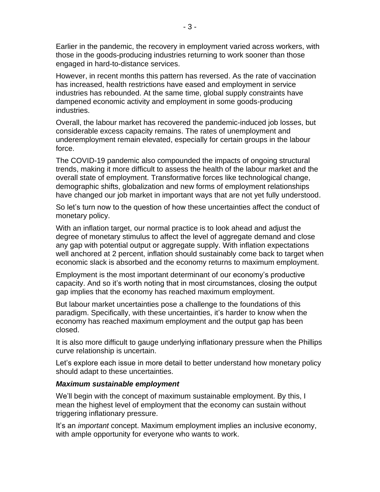Earlier in the pandemic, the recovery in employment varied across workers, with those in the goods-producing industries returning to work sooner than those engaged in hard-to-distance services.

However, in recent months this pattern has reversed. As the rate of vaccination has increased, health restrictions have eased and employment in service industries has rebounded. At the same time, global supply constraints have dampened economic activity and employment in some goods-producing industries.

Overall, the labour market has recovered the pandemic-induced job losses, but considerable excess capacity remains. The rates of unemployment and underemployment remain elevated, especially for certain groups in the labour force.

The COVID-19 pandemic also compounded the impacts of ongoing structural trends, making it more difficult to assess the health of the labour market and the overall state of employment. Transformative forces like technological change, demographic shifts, globalization and new forms of employment relationships have changed our job market in important ways that are not yet fully understood.

So let's turn now to the question of how these uncertainties affect the conduct of monetary policy.

With an inflation target, our normal practice is to look ahead and adjust the degree of monetary stimulus to affect the level of aggregate demand and close any gap with potential output or aggregate supply. With inflation expectations well anchored at 2 percent, inflation should sustainably come back to target when economic slack is absorbed and the economy returns to maximum employment.

Employment is the most important determinant of our economy's productive capacity. And so it's worth noting that in most circumstances, closing the output gap implies that the economy has reached maximum employment.

But labour market uncertainties pose a challenge to the foundations of this paradigm. Specifically, with these uncertainties, it's harder to know when the economy has reached maximum employment and the output gap has been closed.

It is also more difficult to gauge underlying inflationary pressure when the Phillips curve relationship is uncertain.

Let's explore each issue in more detail to better understand how monetary policy should adapt to these uncertainties.

#### *Maximum sustainable employment*

We'll begin with the concept of maximum sustainable employment. By this, I mean the highest level of employment that the economy can sustain without triggering inflationary pressure.

It's an *important* concept. Maximum employment implies an inclusive economy, with ample opportunity for everyone who wants to work.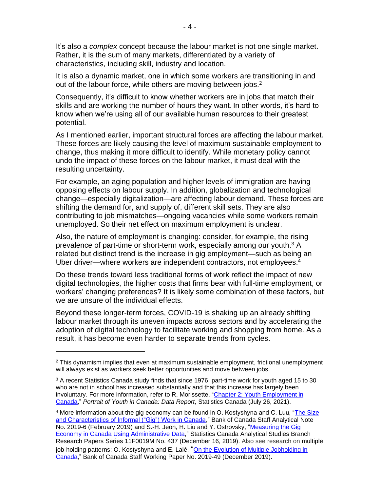It's also a *complex* concept because the labour market is not one single market. Rather, it is the sum of many markets, differentiated by a variety of characteristics, including skill, industry and location.

It is also a dynamic market, one in which some workers are transitioning in and out of the labour force, while others are moving between jobs.<sup>2</sup>

Consequently, it's difficult to know whether workers are in jobs that match their skills and are working the number of hours they want. In other words, it's hard to know when we're using all of our available human resources to their greatest potential.

As I mentioned earlier, important structural forces are affecting the labour market. These forces are likely causing the level of maximum sustainable employment to change, thus making it more difficult to identify. While monetary policy cannot undo the impact of these forces on the labour market, it must deal with the resulting uncertainty.

For example, an aging population and higher levels of immigration are having opposing effects on labour supply. In addition, globalization and technological change—especially digitalization—are affecting labour demand. These forces are shifting the demand for, and supply of, different skill sets. They are also contributing to job mismatches—ongoing vacancies while some workers remain unemployed. So their net effect on maximum employment is unclear.

Also, the nature of employment is changing: consider, for example, the rising prevalence of part-time or short-term work, especially among our youth.<sup>3</sup> A related but distinct trend is the increase in gig employment—such as being an Uber driver—where workers are independent contractors, not employees. 4

Do these trends toward less traditional forms of work reflect the impact of new digital technologies, the higher costs that firms bear with full-time employment, or workers' changing preferences? It is likely some combination of these factors, but we are unsure of the individual effects.

Beyond these longer-term forces, COVID-19 is shaking up an already shifting labour market through its uneven impacts across sectors and by accelerating the adoption of digital technology to facilitate working and shopping from home. As a result, it has become even harder to separate trends from cycles.

 $2$  This dynamism implies that even at maximum sustainable employment, frictional unemployment will always exist as workers seek better opportunities and move between jobs.

 $3$  A recent Statistics Canada study finds that since 1976, part-time work for youth aged 15 to 30 who are not in school has increased substantially and that this increase has largely been involuntary. For more information, refer to R. Morissette, ["Chapter 2: Youth Employment in](https://www150.statcan.gc.ca/n1/pub/42-28-0001/2021001/article/00002-eng.htm)  [Canada,](https://www150.statcan.gc.ca/n1/pub/42-28-0001/2021001/article/00002-eng.htm)" *Portrait of Youth in Canada: Data Report*, Statistics Canada (July 26, 2021).

<sup>&</sup>lt;sup>4</sup> More information about the gig economy can be found in O. Kostyshyna and C. Luu, "The Size [and Characteristics of Informal \("Gig"\) Work in Canada,](http://www.bankofcanada.ca/?p=203842)" Bank of Canada Staff Analytical Note No. 2019-6 (February 2019) and S.-H. Jeon, H. Liu and Y. Ostrovsky, "Measuring the Gig [Economy in Canada Using Administrative Data,](https://www150.statcan.gc.ca/n1/pub/11f0019m/11f0019m2019025-eng.htm)" Statistics Canada Analytical Studies Branch Research Papers Series 11F0019M No. 437 (December 16, 2019). Also see research on multiple job-holding patterns: O. Kostyshyna and E. Lalé, "[On the Evolution of Multiple Jobholding in](http://www.bankofcanada.ca/?p=208545)  [Canada,](http://www.bankofcanada.ca/?p=208545)" Bank of Canada Staff Working Paper No. 2019-49 (December 2019).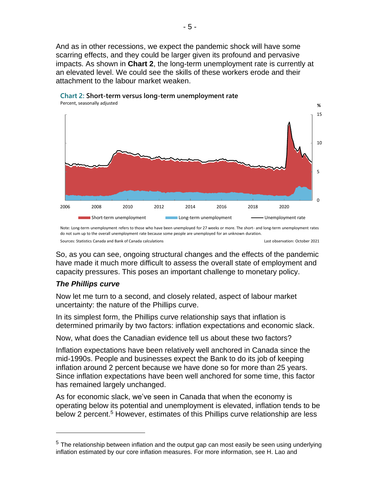And as in other recessions, we expect the pandemic shock will have some scarring effects, and they could be larger given its profound and pervasive impacts. As shown in **Chart 2**, the long-term unemployment rate is currently at an elevated level. We could see the skills of these workers erode and their attachment to the labour market weaken.





So, as you can see, ongoing structural changes and the effects of the pandemic have made it much more difficult to assess the overall state of employment and capacity pressures. This poses an important challenge to monetary policy.

#### *The Phillips curve*

Now let me turn to a second, and closely related, aspect of labour market uncertainty: the nature of the Phillips curve.

In its simplest form, the Phillips curve relationship says that inflation is determined primarily by two factors: inflation expectations and economic slack.

Now, what does the Canadian evidence tell us about these two factors?

Inflation expectations have been relatively well anchored in Canada since the mid-1990s. People and businesses expect the Bank to do its job of keeping inflation around 2 percent because we have done so for more than 25 years. Since inflation expectations have been well anchored for some time, this factor has remained largely unchanged.

As for economic slack, we've seen in Canada that when the economy is operating below its potential and unemployment is elevated, inflation tends to be below 2 percent.<sup>5</sup> However, estimates of this Phillips curve relationship are less

Sources: Statistics Canada and Bank of Canada calculations Last observation: October 2021 Note: Long-term unemployment refers to those who have been unemployed for 27 weeks or more. The short- and long-term unemployment rates do not sum up to the overall unemployment rate because some people are unemployed for an unknown duration.

 $5$  The relationship between inflation and the output gap can most easily be seen using underlying inflation estimated by our core inflation measures. For more information, see H. Lao and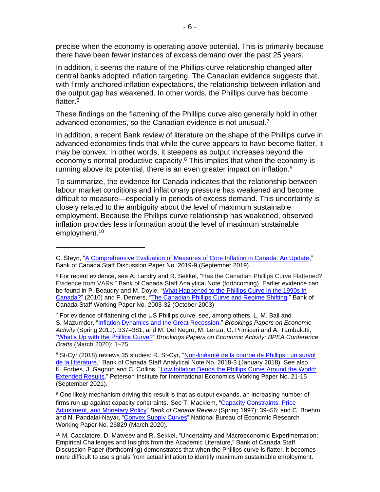precise when the economy is operating above potential. This is primarily because there have been fewer instances of excess demand over the past 25 years.

In addition, it seems the nature of the Phillips curve relationship changed after central banks adopted inflation targeting. The Canadian evidence suggests that, with firmly anchored inflation expectations, the relationship between inflation and the output gap has weakened. In other words, the Phillips curve has become flatter.<sup>6</sup>

These findings on the flattening of the Phillips curve also generally hold in other advanced economies, so the Canadian evidence is not unusual.<sup>7</sup>

In addition, a recent Bank review of literature on the shape of the Phillips curve in advanced economies finds that while the curve appears to have become flatter, it may be convex. In other words, it steepens as output increases beyond the economy's normal productive capacity.<sup>8</sup> This implies that when the economy is running above its potential, there is an even greater impact on inflation.<sup>9</sup>

To summarize, the evidence for Canada indicates that the relationship between labour market conditions and inflationary pressure has weakened and become difficult to measure—especially in periods of excess demand. This uncertainty is closely related to the ambiguity about the level of maximum sustainable employment. Because the Phillips curve relationship has weakened, observed inflation provides less information about the level of maximum sustainable employment.<sup>10</sup>

C. Steyn, ["A Comprehensive Evaluation of Measures of Core Inflation in Canada: An Update,](http://www.bankofcanada.ca/?p=206468)" Bank of Canada Staff Discussion Paper No. 2019-9 (September 2019).

<sup>&</sup>lt;sup>6</sup> For recent evidence, see A. Landry and R. Sekkel, "Has the Canadian Phillips Curve Flattened? Evidence from VARs," Bank of Canada Staff Analytical Note (forthcoming). Earlier evidence can be found in P. Beaudry and M. Doyle, ["What Happened to the Phillips Curve in](http://www.bankofcanada.ca/?attachment_id=39656) the 1990s in [Canada?"](http://www.bankofcanada.ca/?attachment_id=39656) (2010) and F. Demers, ["The Canadian Phillips Curve and Regime Shifting,](http://www.bankofcanada.ca/?p=11926)" Bank of Canada Staff Working Paper No. 2003-32 (October 2003)

 $7$  For evidence of flattening of the US Phillips curve, see, among others, L. M. Ball and S. Mazumder, ["Inflation Dynamics and the Great Recession,](https://www.brookings.edu/wp-content/uploads/2016/07/2011a_bpea_ball.pdf)" *Brookings Papers on Economic Activity* (Spring 2011): 337–381; and M. Del Negro, M. Lenza, G. Primiceri and A. Tambalotti, ["What's Up with the Phillips Curve?"](https://can01.safelinks.protection.outlook.com/?url=https%3A%2F%2Fwww.brookings.edu%2Fwp-content%2Fuploads%2F2020%2F03%2FDel-Negro-et-al-Conference-Draft.pdf&data=04%7C01%7CJBrian%40bank-banque-canada.ca%7Ca11239f0f5f64954d71308d9697a6297%7C164f988ba2f44584aeaa21bd4a0234bc%7C0%7C0%7C637656796622191058%7CUnknown%7CTWFpbGZsb3d8eyJWIjoiMC4wLjAwMDAiLCJQIjoiV2luMzIiLCJBTiI6Ik1haWwiLCJXVCI6Mn0%3D%7C1000&sdata=r13sIWnvZygAIBru0GXmCIt6QThXiry2EVEZn%2B6TgZs%3D&reserved=0) *Brookings Papers on Economic Activity: BPEA Conference Drafts* (March 2020): 1–75.

<sup>&</sup>lt;sup>8</sup> St-Cyr (2018) reviews 35 studies: R. St-Cyr, "Non-linéarité de la courbe de Phillips : un survol [de la littérature,](http://www.bankofcanada.ca/?p=196790)" Bank of Canada Staff Analytical Note No. 2018-3 (January 2018). See also K. Forbes, J. Gagnon and C. Collins, ["Low Inflation Bends the Phillips Curve Around the World:](https://www.piie.com/sites/default/files/documents/wp21-15.pdf)  [Extended Results,](https://www.piie.com/sites/default/files/documents/wp21-15.pdf)" Peterson Institute for International Economics Working Paper No. 21-15 (September 2021).

<sup>&</sup>lt;sup>9</sup> One likely mechanism driving this result is that as output expands, an increasing number of firms run up against capacity constraints. See T. Macklem, ["Capacity Constraints, Price](http://www.bankofcanada.ca/?attachment_id=29391)  [Adjustment, and Monetary Policy"](http://www.bankofcanada.ca/?attachment_id=29391) *Bank of Canada Review* (Spring 1997): 39–56; and C. Boehm and N. Pandalai-Nayar, ["Convex Supply Curves"](https://www.nber.org/system/files/working_papers/w26829/w26829.pdf) National Bureau of Economic Research Working Paper No. 26829 (March 2020).

<sup>10</sup> M. Cacciatore, D. Matveev and R. Sekkel, "Uncertainty and Macroeconomic Experimentation: Empirical Challenges and Insights from the Academic Literature," Bank of Canada Staff Discussion Paper (forthcoming) demonstrates that when the Phillips curve is flatter, it becomes more difficult to use signals from actual inflation to identify maximum sustainable employment.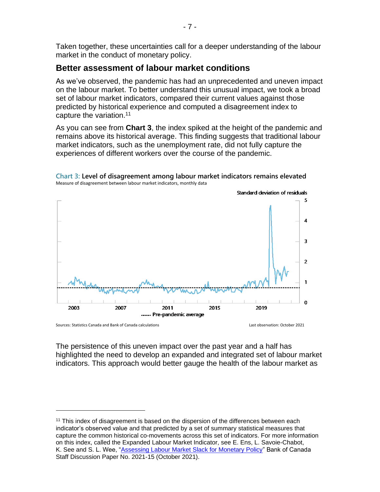Taken together, these uncertainties call for a deeper understanding of the labour market in the conduct of monetary policy.

### **Better assessment of labour market conditions**

As we've observed, the pandemic has had an unprecedented and uneven impact on the labour market. To better understand this unusual impact, we took a broad set of labour market indicators, compared their current values against those predicted by historical experience and computed a disagreement index to capture the variation.<sup>11</sup>

As you can see from **Chart 3**, the index spiked at the height of the pandemic and remains above its historical average. This finding suggests that traditional labour market indicators, such as the unemployment rate, did not fully capture the experiences of different workers over the course of the pandemic.





Sources: Statistics Canada and Bank of Canada calculations Last observation: October 2021

The persistence of this uneven impact over the past year and a half has highlighted the need to develop an expanded and integrated set of labour market indicators. This approach would better gauge the health of the labour market as

<sup>&</sup>lt;sup>11</sup> This index of disagreement is based on the dispersion of the differences between each indicator's observed value and that predicted by a set of summary statistical measures that capture the common historical co-movements across this set of indicators. For more information on this index, called the Expanded Labour Market Indicator, see E. Ens, L. Savoie-Chabot, K. See and S. L. Wee, ["Assessing Labour Market Slack for Monetary Policy"](http://www.bankofcanada.ca/?p=223008) Bank of Canada Staff Discussion Paper No. 2021-15 (October 2021).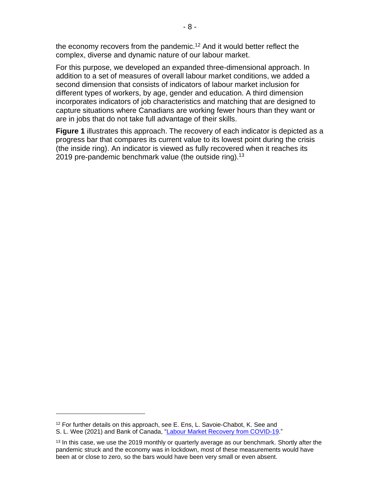the economy recovers from the pandemic.<sup>12</sup> And it would better reflect the complex, diverse and dynamic nature of our labour market.

For this purpose, we developed an expanded three-dimensional approach. In addition to a set of measures of overall labour market conditions, we added a second dimension that consists of indicators of labour market inclusion for different types of workers, by age, gender and education. A third dimension incorporates indicators of job characteristics and matching that are designed to capture situations where Canadians are working fewer hours than they want or are in jobs that do not take full advantage of their skills.

**Figure 1** illustrates this approach. The recovery of each indicator is depicted as a progress bar that compares its current value to its lowest point during the crisis (the inside ring). An indicator is viewed as fully recovered when it reaches its 2019 pre-pandemic benchmark value (the outside ring).<sup>13</sup>

<sup>12</sup> For further details on this approach, see E. Ens, L. Savoie-Chabot, K. See and S. L. Wee (2021) and Bank of Canada, ["Labour Market Recovery from COVID-19.](http://www.bankofcanada.ca/?p=223284)"

<sup>&</sup>lt;sup>13</sup> In this case, we use the 2019 monthly or quarterly average as our benchmark. Shortly after the pandemic struck and the economy was in lockdown, most of these measurements would have been at or close to zero, so the bars would have been very small or even absent.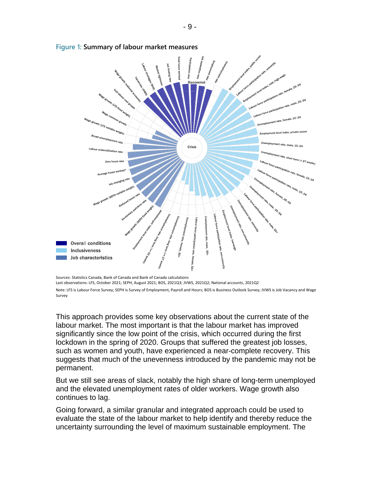

**Figure 1: Summary of labour market measures**

Sources: Statistics Canada, Bank of Canada and Bank of Canada calculations

Last observations: LFS, October 2021; SEPH, August 2021; BOS, 2021Q3; JVWS, 2021Q2; National accounts, 2021Q2 Note: LFS is Labour Force Survey; SEPH is Survey of Employment, Payroll and Hours; BOS is Business Outlook Survey; JVWS is Job Vacancy and Wage Survey

This approach provides some key observations about the current state of the labour market. The most important is that the labour market has improved significantly since the low point of the crisis, which occurred during the first lockdown in the spring of 2020. Groups that suffered the greatest job losses, such as women and youth, have experienced a near-complete recovery. This suggests that much of the unevenness introduced by the pandemic may not be permanent.

But we still see areas of slack, notably the high share of long-term unemployed and the elevated unemployment rates of older workers. Wage growth also continues to lag.

Going forward, a similar granular and integrated approach could be used to evaluate the state of the labour market to help identify and thereby reduce the uncertainty surrounding the level of maximum sustainable employment. The